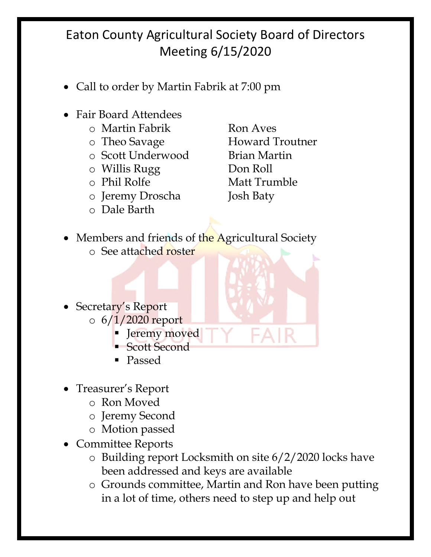- Call to order by Martin Fabrik at 7:00 pm
- Fair Board Attendees
	- o Martin Fabrik Ron Aves
	-
	- o Scott Underwood Brian Martin
	- o Willis Rugg Don Roll
	-
	- o Jeremy Droscha Josh Baty
	- o Dale Barth

o Theo Savage **Howard Troutner** o Phil Rolfe Matt Trumble

- Members and friends of the Agricultural Society
	- o See attached roster
- Secretary's Report  $\circ$  6/1/2020 report
	- Jeremy moved
		- § Scott Second
		- Passed
- Treasurer's Report
	- o Ron Moved
	- o Jeremy Second
	- o Motion passed
- Committee Reports
	- o Building report Locksmith on site 6/2/2020 locks have been addressed and keys are available
	- o Grounds committee, Martin and Ron have been putting in a lot of time, others need to step up and help out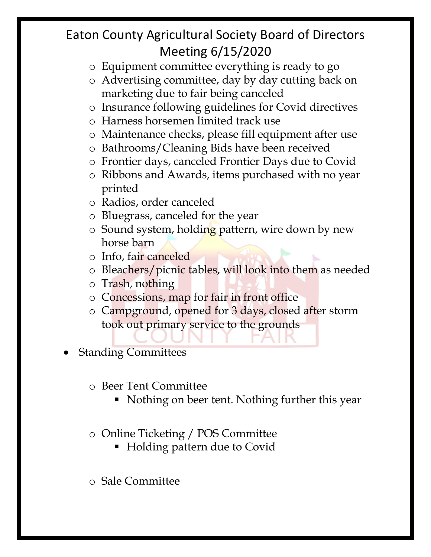- o Equipment committee everything is ready to go
- o Advertising committee, day by day cutting back on marketing due to fair being canceled
- o Insurance following guidelines for Covid directives
- o Harness horsemen limited track use
- o Maintenance checks, please fill equipment after use
- o Bathrooms/Cleaning Bids have been received
- o Frontier days, canceled Frontier Days due to Covid
- o Ribbons and Awards, items purchased with no year printed
- o Radios, order canceled
- o Bluegrass, canceled for the year
- o Sound system, holding pattern, wire down by new horse barn
- o Info, fair canceled
- o Bleachers/picnic tables, will look into them as needed
- o Trash, nothing
- o Concessions, map for fair in front office
- o Campground, opened for 3 days, closed after storm took out primary service to the grounds
- Standing Committees
	- o Beer Tent Committee
		- Nothing on beer tent. Nothing further this year
	- o Online Ticketing / POS Committee
		- Holding pattern due to Covid
	- o Sale Committee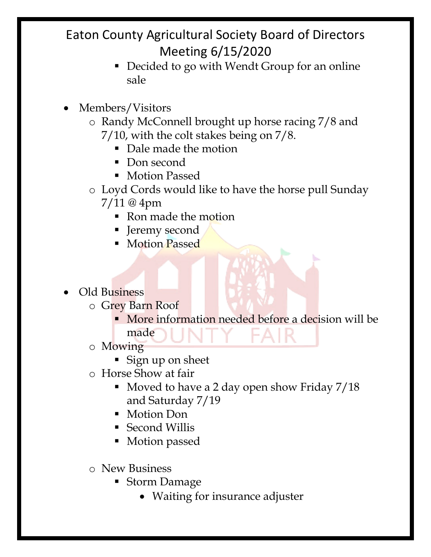- Decided to go with Wendt Group for an online sale
- Members/Visitors
	- o Randy McConnell brought up horse racing 7/8 and 7/10, with the colt stakes being on 7/8.
		- Dale made the motion
		- Don second
		- Motion Passed
	- o Loyd Cords would like to have the horse pull Sunday 7/11 @ 4pm
		- Ron made the motion
		- Jeremy second
		- Motion Passed
- Old Business
	- o Grey Barn Roof
		- § More information needed before a decision will be made
	- o Mowing
		- § Sign up on sheet
	- o Horse Show at fair
		- § Moved to have a 2 day open show Friday 7/18 and Saturday 7/19
		- Motion Don
		- Second Willis
		- Motion passed
	- o New Business
		- Storm Damage
			- Waiting for insurance adjuster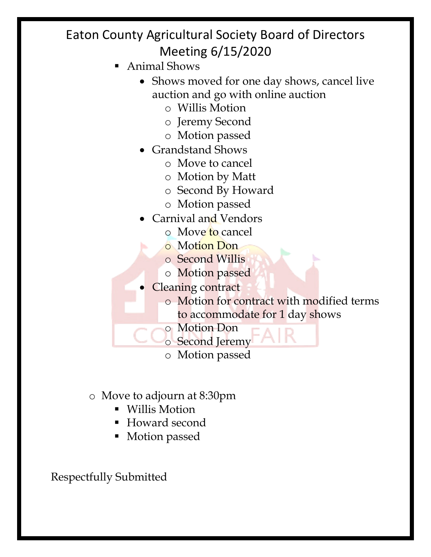- § Animal Shows
	- Shows moved for one day shows, cancel live auction and go with online auction
		- o Willis Motion
		- o Jeremy Second
		- o Motion passed
	- Grandstand Shows
		- o Move to cancel
		- o Motion by Matt
		- o Second By Howard
		- o Motion passed
	- Carnival and Vendors
		- o Move to cancel
		- o Motion Don
		- o Second Willis
		- o Motion passed
	- Cleaning contract
		- o Motion for contract with modified terms to accommodate for 1 day shows
		- o Motion Don
		- o Second Jeremy
		- o Motion passed
- o Move to adjourn at 8:30pm
	- Willis Motion
	- § Howard second
	- Motion passed

Respectfully Submitted